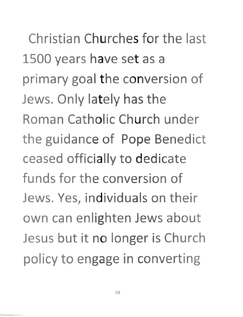Christian Churches for the last 1500 years have set as a primary goal the conversion of Jews. Only lately has the Roman Catholic Church under the guidance of Pope Benedict ceased officially to dedicate funds for the conversion of Jews. Yes, individuals on their own can enlighten Jews about Jesus but it no longer is Church policy to engage in converting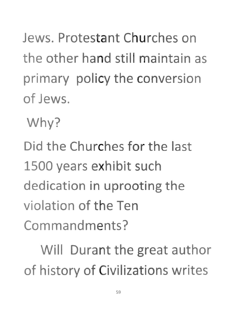Jews. Protestant Churches on the other hand still maintain as primary policy the conversion of Jews.

Why?

Did the Churches for the last 1500 years exhibit such dedication in uprooting the violation of the Ten Commandments?

Will Durant the great author of history of Civilizations writes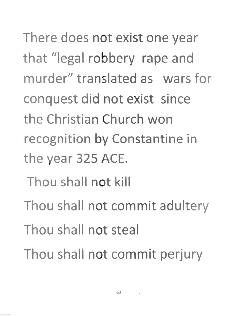There does not exist one year that "legal robbery rape and murder" translated as wars for conquest did not exist since the Christian Church won recognition by Constantine in the year 325 ACE.

- Thou shall not kill
- Thou shall not commit adultery
- Thou shall not steal
- Thou shall not commit perjury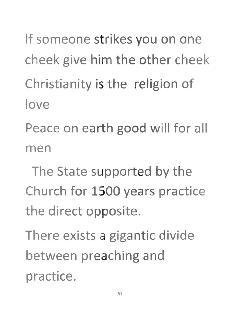If someone strikes you on one cheek give him the other cheek **Christianity is the religion of love** 

**Peace on earth good will for all men** 

The State supported by the **Church for 1500 years practice** the direct opposite.

There exists a gigantic divide between preaching and **practice.**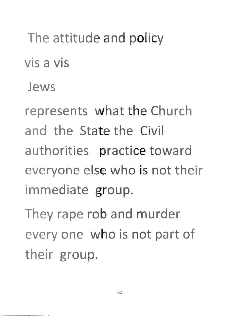## The attitude and policy

vis a vis

**Jews** 

represents what the Church **and the State the Civil authorities practice toward everyone else who is not their immediate group.** 

They rape rob and murder every one who is not part of their group.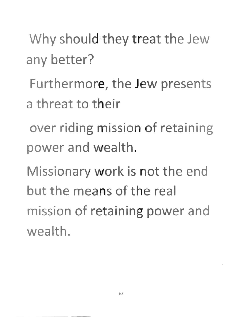Why should they treat the Jew any better?

Furthermore, the Jew presents a threat to their

over riding mission of retaining power and wealth.

Missionary work is not the end but the means of the real mission of retaining power and wealth.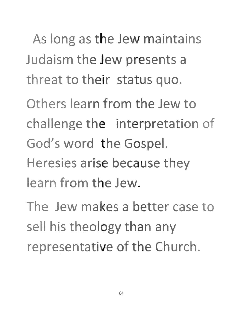As long as the Jew maintains Judaism the Jew presents a threat to their status quo.

Others learn from the Jew to challenge the interpretation of God's word the Gospel. Heresies arise because they learn from the Jew.

The Jew makes a better case to sell his theology than any representative of the Church.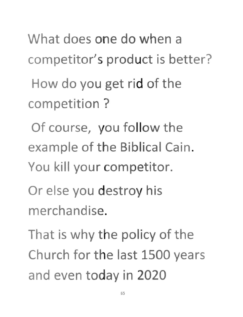**What does one do when a competitor's product is better?** 

How do you get rid of the **competition?** 

**Of course, you follow the example of the Biblical Cain. You kill your competitor.** 

**Or else you destroy his merchandise.** 

That is why the policy of the Churc(h **for the last 1500 years**  and even today in 2020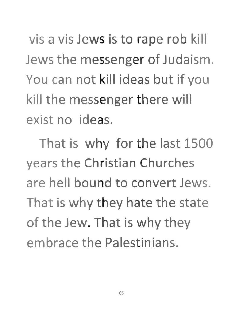vis a vis Jews is to rape rob kill Jews the messenger of Judaism. You can not kill ideas but if you kill the messenger there will exist no ideas.

That is why for the last 1500 years the Christian Churches are hell bound to convert Jews. That is why they hate the state of the Jew. That is why they embrace the Palestinians.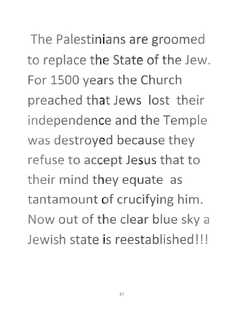The Palestinians are groomed to replace the State of the Jew. For 1500 years the Church preached that Jews lost their independence and the Temple was destroyed because they refuse to accept Jesus that to their mind they equate as tantamount of crucifying him. Now out of the clear blue sky a Jewish state is reestablished!!!